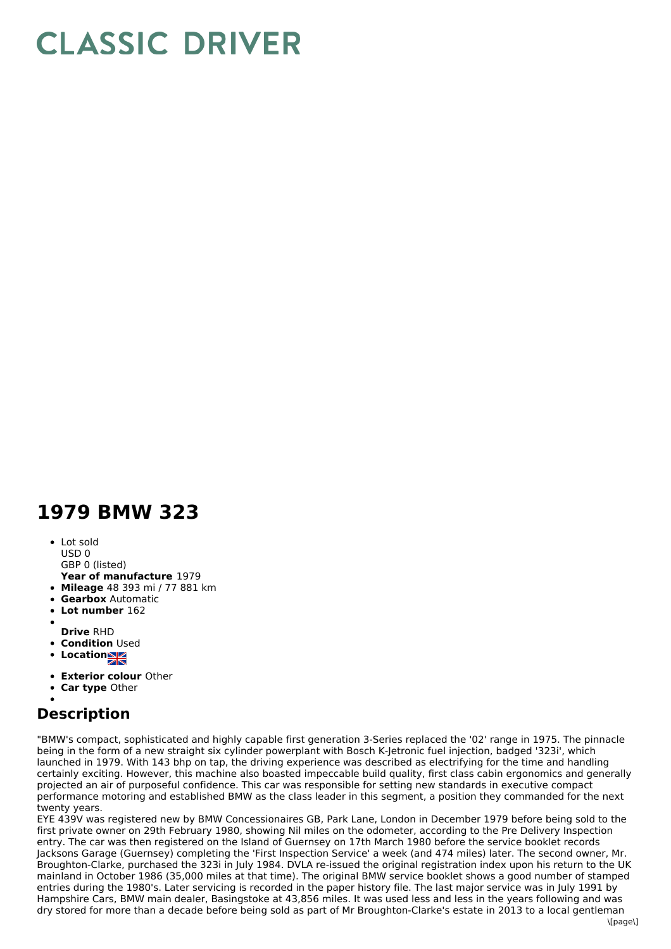## **CLASSIC DRIVER**

## **1979 BMW 323**

• Lot sold USD 0

GBP 0 (listed)

- **Year of manufacture** 1979
- **Mileage** 48 393 mi / 77 881 km
- **Gearbox** Automatic
- **Lot number** 162
- **Drive** RHD
- **Condition** Used
- 
- **Locations**
- **Exterior colour** Other
- **Car type** Other

## **Description**

"BMW's compact, sophisticated and highly capable first generation 3-Series replaced the '02' range in 1975. The pinnacle being in the form of a new straight six cylinder powerplant with Bosch K-Jetronic fuel injection, badged '323i', which launched in 1979. With 143 bhp on tap, the driving experience was described as electrifying for the time and handling certainly exciting. However, this machine also boasted impeccable build quality, first class cabin ergonomics and generally projected an air of purposeful confidence. This car was responsible for setting new standards in executive compact performance motoring and established BMW as the class leader in this segment, a position they commanded for the next twenty years.

EYE 439V was registered new by BMW Concessionaires GB, Park Lane, London in December 1979 before being sold to the first private owner on 29th February 1980, showing Nil miles on the odometer, according to the Pre Delivery Inspection entry. The car was then registered on the Island of Guernsey on 17th March 1980 before the service booklet records Jacksons Garage (Guernsey) completing the 'First Inspection Service' a week (and 474 miles) later. The second owner, Mr. Broughton-Clarke, purchased the 323i in July 1984. DVLA re-issued the original registration index upon his return to the UK mainland in October 1986 (35,000 miles at that time). The original BMW service booklet shows a good number of stamped entries during the 1980's. Later servicing is recorded in the paper history file. The last major service was in July 1991 by Hampshire Cars, BMW main dealer, Basingstoke at 43,856 miles. It was used less and less in the years following and was dry stored for more than a decade before being sold as part of Mr Broughton-Clarke's estate in 2013 to a local gentleman